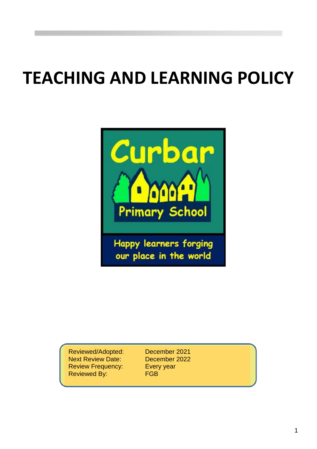# **TEACHING AND LEARNING POLICY**



our place in the world

Reviewed/Adopted: December 2021 Next Review Date: December 2022 Review Frequency: Every year Reviewed By: FGB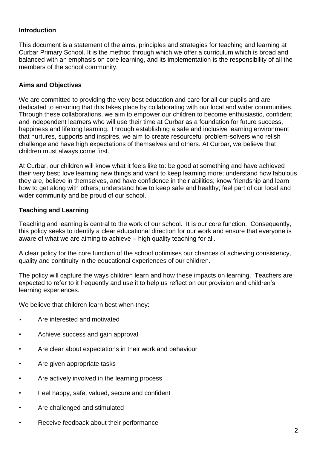#### **Introduction**

This document is a statement of the aims, principles and strategies for teaching and learning at Curbar Primary School. It is the method through which we offer a curriculum which is broad and balanced with an emphasis on core learning, and its implementation is the responsibility of all the members of the school community.

#### **Aims and Objectives**

We are committed to providing the very best education and care for all our pupils and are dedicated to ensuring that this takes place by collaborating with our local and wider communities. Through these collaborations, we aim to empower our children to become enthusiastic, confident and independent learners who will use their time at Curbar as a foundation for future success, happiness and lifelong learning. Through establishing a safe and inclusive learning environment that nurtures, supports and inspires, we aim to create resourceful problem-solvers who relish challenge and have high expectations of themselves and others. At Curbar, we believe that children must always come first.

At Curbar, our children will know what it feels like to: be good at something and have achieved their very best; love learning new things and want to keep learning more; understand how fabulous they are, believe in themselves, and have confidence in their abilities; know friendship and learn how to get along with others; understand how to keep safe and healthy; feel part of our local and wider community and be proud of our school.

#### **Teaching and Learning**

Teaching and learning is central to the work of our school. It is our core function. Consequently, this policy seeks to identify a clear educational direction for our work and ensure that everyone is aware of what we are aiming to achieve – high quality teaching for all.

A clear policy for the core function of the school optimises our chances of achieving consistency, quality and continuity in the educational experiences of our children.

The policy will capture the ways children learn and how these impacts on learning. Teachers are expected to refer to it frequently and use it to help us reflect on our provision and children's learning experiences.

We believe that children learn best when they:

- Are interested and motivated
- Achieve success and gain approval
- Are clear about expectations in their work and behaviour
- Are given appropriate tasks
- Are actively involved in the learning process
- Feel happy, safe, valued, secure and confident
- Are challenged and stimulated
- Receive feedback about their performance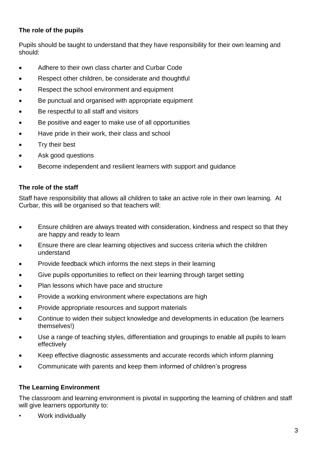# **The role of the pupils**

Pupils should be taught to understand that they have responsibility for their own learning and should:

- Adhere to their own class charter and Curbar Code
- Respect other children, be considerate and thoughtful
- Respect the school environment and equipment
- Be punctual and organised with appropriate equipment
- Be respectful to all staff and visitors
- Be positive and eager to make use of all opportunities
- Have pride in their work, their class and school
- Try their best
- Ask good questions
- Become independent and resilient learners with support and guidance

## **The role of the staff**

Staff have responsibility that allows all children to take an active role in their own learning. At Curbar, this will be organised so that teachers will:

- Ensure children are always treated with consideration, kindness and respect so that they are happy and ready to learn
- Ensure there are clear learning objectives and success criteria which the children understand
- Provide feedback which informs the next steps in their learning
- Give pupils opportunities to reflect on their learning through target setting
- Plan lessons which have pace and structure
- Provide a working environment where expectations are high
- Provide appropriate resources and support materials
- Continue to widen their subject knowledge and developments in education (be learners themselves!)
- Use a range of teaching styles, differentiation and groupings to enable all pupils to learn effectively
- Keep effective diagnostic assessments and accurate records which inform planning
- Communicate with parents and keep them informed of children's progress

## **The Learning Environment**

The classroom and learning environment is pivotal in supporting the learning of children and staff will give learners opportunity to:

• Work individually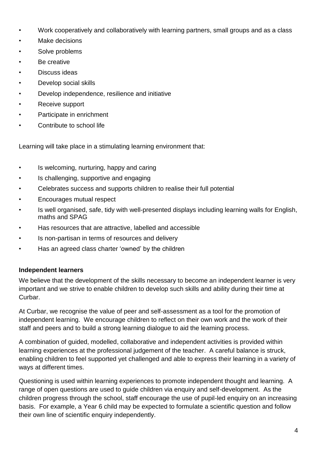- Work cooperatively and collaboratively with learning partners, small groups and as a class
- Make decisions
- Solve problems
- Be creative
- Discuss ideas
- Develop social skills
- Develop independence, resilience and initiative
- Receive support
- Participate in enrichment
- Contribute to school life

Learning will take place in a stimulating learning environment that:

- Is welcoming, nurturing, happy and caring
- Is challenging, supportive and engaging
- Celebrates success and supports children to realise their full potential
- Encourages mutual respect
- Is well organised, safe, tidy with well-presented displays including learning walls for English, maths and SPAG
- Has resources that are attractive, labelled and accessible
- Is non-partisan in terms of resources and delivery
- Has an agreed class charter 'owned' by the children

## **Independent learners**

We believe that the development of the skills necessary to become an independent learner is very important and we strive to enable children to develop such skills and ability during their time at Curbar.

At Curbar, we recognise the value of peer and self-assessment as a tool for the promotion of independent learning. We encourage children to reflect on their own work and the work of their staff and peers and to build a strong learning dialogue to aid the learning process.

A combination of guided, modelled, collaborative and independent activities is provided within learning experiences at the professional judgement of the teacher. A careful balance is struck, enabling children to feel supported yet challenged and able to express their learning in a variety of ways at different times.

Questioning is used within learning experiences to promote independent thought and learning. A range of open questions are used to guide children via enquiry and self-development. As the children progress through the school, staff encourage the use of pupil-led enquiry on an increasing basis. For example, a Year 6 child may be expected to formulate a scientific question and follow their own line of scientific enquiry independently.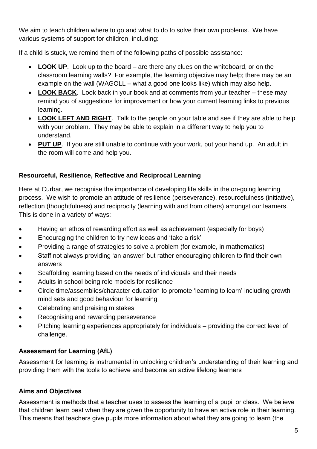We aim to teach children where to go and what to do to solve their own problems. We have various systems of support for children, including:

If a child is stuck, we remind them of the following paths of possible assistance:

- **LOOK UP**. Look up to the board are there any clues on the whiteboard, or on the classroom learning walls? For example, the learning objective may help; there may be an example on the wall (WAGOLL – what a good one looks like) which may also help.
- **LOOK BACK**. Look back in your book and at comments from your teacher these may remind you of suggestions for improvement or how your current learning links to previous learning.
- **LOOK LEFT AND RIGHT**. Talk to the people on your table and see if they are able to help with your problem. They may be able to explain in a different way to help you to understand.
- **PUT UP**. If you are still unable to continue with your work, put your hand up. An adult in the room will come and help you.

# **Resourceful, Resilience, Reflective and Reciprocal Learning**

Here at Curbar, we recognise the importance of developing life skills in the on-going learning process. We wish to promote an attitude of resilience (perseverance), resourcefulness (initiative), reflection (thoughtfulness) and reciprocity (learning with and from others) amongst our learners. This is done in a variety of ways:

- Having an ethos of rewarding effort as well as achievement (especially for boys)
- Encouraging the children to try new ideas and 'take a risk'
- Providing a range of strategies to solve a problem (for example, in mathematics)
- Staff not always providing 'an answer' but rather encouraging children to find their own answers
- Scaffolding learning based on the needs of individuals and their needs
- Adults in school being role models for resilience
- Circle time/assemblies/character education to promote 'learning to learn' including growth mind sets and good behaviour for learning
- Celebrating and praising mistakes
- Recognising and rewarding perseverance
- Pitching learning experiences appropriately for individuals providing the correct level of challenge.

# **Assessment for Learning (AfL)**

Assessment for learning is instrumental in unlocking children's understanding of their learning and providing them with the tools to achieve and become an active lifelong learners

# **Aims and Objectives**

Assessment is methods that a teacher uses to assess the learning of a pupil or class. We believe that children learn best when they are given the opportunity to have an active role in their learning. This means that teachers give pupils more information about what they are going to learn (the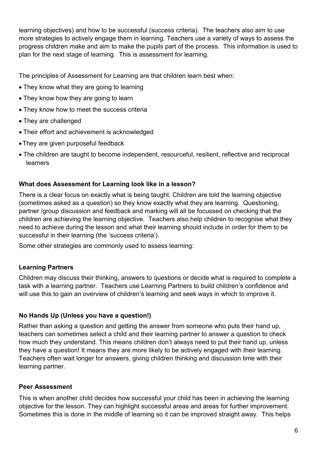learning objectives) and how to be successful (success criteria). The teachers also aim to use more strategies to actively engage them in learning. Teachers use a variety of ways to assess the progress children make and aim to make the pupils part of the process. This information is used to plan for the next stage of learning. This is assessment for learning.

The principles of Assessment for Learning are that children learn best when:

- They know what they are going to learning
- They know how they are going to learn
- They know how to meet the success criteria
- They are challenged
- Their effort and achievement is acknowledged
- •They are given purposeful feedback
- The children are taught to become independent, resourceful, resilient, reflective and reciprocal learners

## **What does Assessment for Learning look like in a lesson?**

There is a clear focus on exactly what is being taught. Children are told the learning objective (sometimes asked as a question) so they know exactly what they are learning. Questioning, partner /group discussion and feedback and marking will all be focussed on checking that the children are achieving the learning objective. Teachers also help children to recognise what they need to achieve during the lesson and what their learning should include in order for them to be successful in their learning (the 'success criteria').

Some other strategies are commonly used to assess learning:

# **Learning Partners**

Children may discuss their thinking, answers to questions or decide what is required to complete a task with a learning partner. Teachers use Learning Partners to build children's confidence and will use this to gain an overview of children's learning and seek ways in which to improve it.

# **No Hands Up (Unless you have a question!)**

Rather than asking a question and getting the answer from someone who puts their hand up, teachers can sometimes select a child and their learning partner to answer a question to check how much they understand. This means children don't always need to put their hand up, unless they have a question! It means they are more likely to be actively engaged with their learning. Teachers often wait longer for answers, giving children thinking and discussion time with their learning partner.

## **Peer Assessment**

This is when another child decides how successful your child has been in achieving the learning objective for the lesson. They can highlight successful areas and areas for further improvement. Sometimes this is done in the middle of learning so it can be improved straight away. This helps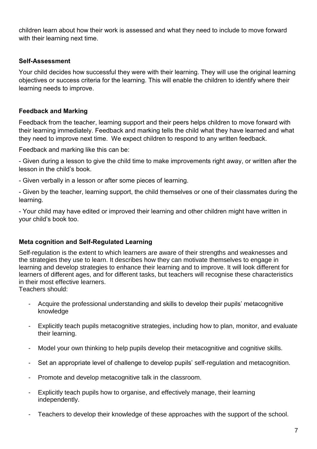children learn about how their work is assessed and what they need to include to move forward with their learning next time.

## **Self-Assessment**

Your child decides how successful they were with their learning. They will use the original learning objectives or success criteria for the learning. This will enable the children to identify where their learning needs to improve.

## **Feedback and Marking**

Feedback from the teacher, learning support and their peers helps children to move forward with their learning immediately. Feedback and marking tells the child what they have learned and what they need to improve next time. We expect children to respond to any written feedback.

Feedback and marking like this can be:

- Given during a lesson to give the child time to make improvements right away, or written after the lesson in the child's book.

- Given verbally in a lesson or after some pieces of learning.

- Given by the teacher, learning support, the child themselves or one of their classmates during the learning.

- Your child may have edited or improved their learning and other children might have written in your child's book too.

## **Meta cognition and Self-Regulated Learning**

Self-regulation is the extent to which learners are aware of their strengths and weaknesses and the strategies they use to learn. It describes how they can motivate themselves to engage in learning and develop strategies to enhance their learning and to improve. It will look different for learners of different ages, and for different tasks, but teachers will recognise these characteristics in their most effective learners.

Teachers should:

- Acquire the professional understanding and skills to develop their pupils' metacognitive knowledge
- Explicitly teach pupils metacognitive strategies, including how to plan, monitor, and evaluate their learning.
- Model your own thinking to help pupils develop their metacognitive and cognitive skills.
- Set an appropriate level of challenge to develop pupils' self-regulation and metacognition.
- Promote and develop metacognitive talk in the classroom.
- Explicitly teach pupils how to organise, and effectively manage, their learning independently.
- Teachers to develop their knowledge of these approaches with the support of the school.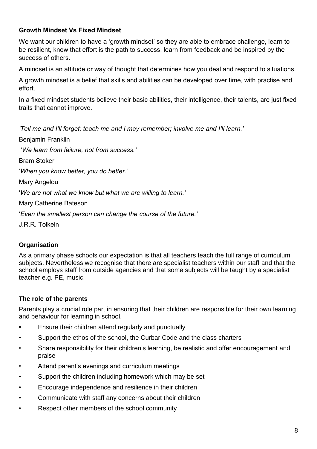# **Growth Mindset Vs Fixed Mindset**

We want our children to have a 'growth mindset' so they are able to embrace challenge, learn to be resilient, know that effort is the path to success, learn from feedback and be inspired by the success of others.

A mindset is an attitude or way of thought that determines how you deal and respond to situations.

A growth mindset is a belief that skills and abilities can be developed over time, with practise and effort.

In a fixed mindset students believe their basic abilities, their intelligence, their talents, are just fixed traits that cannot improve.

*'Tell me and I'll forget; teach me and I may remember; involve me and I'll learn.'* 

Benjamin Franklin

'*We learn from failure, not from success.'*

Bram Stoker

'*When you know better, you do better.'*

Mary Angelou

'*We are not what we know but what we are willing to learn.'*

Mary Catherine Bateson

'*Even the smallest person can change the course of the future.'*

J.R.R. Tolkein

# **Organisation**

As a primary phase schools our expectation is that all teachers teach the full range of curriculum subjects. Nevertheless we recognise that there are specialist teachers within our staff and that the school employs staff from outside agencies and that some subjects will be taught by a specialist teacher e.g. PE, music.

# **The role of the parents**

Parents play a crucial role part in ensuring that their children are responsible for their own learning and behaviour for learning in school.

- **•** Ensure their children attend regularly and punctually
- Support the ethos of the school, the Curbar Code and the class charters
- Share responsibility for their children's learning, be realistic and offer encouragement and praise
- Attend parent's evenings and curriculum meetings
- Support the children including homework which may be set
- Encourage independence and resilience in their children
- Communicate with staff any concerns about their children
- Respect other members of the school community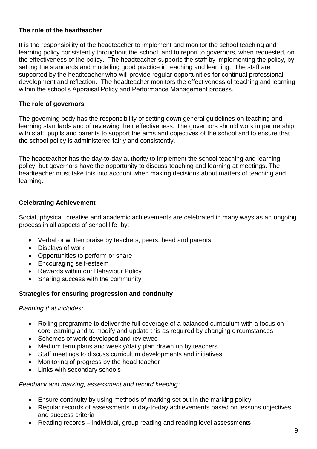## **The role of the headteacher**

It is the responsibility of the headteacher to implement and monitor the school teaching and learning policy consistently throughout the school, and to report to governors, when requested, on the effectiveness of the policy. The headteacher supports the staff by implementing the policy, by setting the standards and modelling good practice in teaching and learning. The staff are supported by the headteacher who will provide regular opportunities for continual professional development and reflection. The headteacher monitors the effectiveness of teaching and learning within the school's Appraisal Policy and Performance Management process.

#### **The role of governors**

The governing body has the responsibility of setting down general guidelines on teaching and learning standards and of reviewing their effectiveness. The governors should work in partnership with staff, pupils and parents to support the aims and objectives of the school and to ensure that the school policy is administered fairly and consistently.

The headteacher has the day-to-day authority to implement the school teaching and learning policy, but governors have the opportunity to discuss teaching and learning at meetings. The headteacher must take this into account when making decisions about matters of teaching and learning.

## **Celebrating Achievement**

Social, physical, creative and academic achievements are celebrated in many ways as an ongoing process in all aspects of school life, by;

- Verbal or written praise by teachers, peers, head and parents
- Displays of work
- Opportunities to perform or share
- Encouraging self-esteem
- Rewards within our Behaviour Policy
- Sharing success with the community

#### **Strategies for ensuring progression and continuity**

#### *Planning that includes:*

- Rolling programme to deliver the full coverage of a balanced curriculum with a focus on core learning and to modify and update this as required by changing circumstances
- Schemes of work developed and reviewed
- Medium term plans and weekly/daily plan drawn up by teachers
- Staff meetings to discuss curriculum developments and initiatives
- Monitoring of progress by the head teacher
- Links with secondary schools

#### *Feedback and marking, assessment and record keeping:*

- Ensure continuity by using methods of marking set out in the marking policy
- Regular records of assessments in day-to-day achievements based on lessons objectives and success criteria
- Reading records individual, group reading and reading level assessments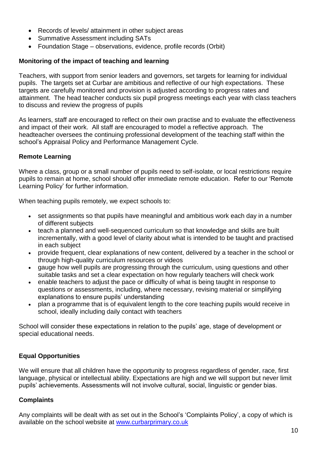- Records of levels/ attainment in other subject areas
- Summative Assessment including SATs
- Foundation Stage observations, evidence, profile records (Orbit)

## **Monitoring of the impact of teaching and learning**

Teachers, with support from senior leaders and governors, set targets for learning for individual pupils. The targets set at Curbar are ambitious and reflective of our high expectations. These targets are carefully monitored and provision is adjusted according to progress rates and attainment. The head teacher conducts six pupil progress meetings each year with class teachers to discuss and review the progress of pupils

As learners, staff are encouraged to reflect on their own practise and to evaluate the effectiveness and impact of their work. All staff are encouraged to model a reflective approach. The headteacher oversees the continuing professional development of the teaching staff within the school's Appraisal Policy and Performance Management Cycle.

## **Remote Learning**

Where a class, group or a small number of pupils need to self-isolate, or local restrictions require pupils to remain at home, school should offer immediate remote education. Refer to our 'Remote Learning Policy' for further information.

When teaching pupils remotely, we expect schools to:

- set assignments so that pupils have meaningful and ambitious work each day in a number of different subjects
- teach a planned and well-sequenced curriculum so that knowledge and skills are built incrementally, with a good level of clarity about what is intended to be taught and practised in each subject
- provide frequent, clear explanations of new content, delivered by a teacher in the school or through high-quality curriculum resources or videos
- gauge how well pupils are progressing through the curriculum, using questions and other suitable tasks and set a clear expectation on how regularly teachers will check work
- enable teachers to adjust the pace or difficulty of what is being taught in response to questions or assessments, including, where necessary, revising material or simplifying explanations to ensure pupils' understanding
- plan a programme that is of equivalent length to the core teaching pupils would receive in school, ideally including daily contact with teachers

School will consider these expectations in relation to the pupils' age, stage of development or special educational needs.

# **Equal Opportunities**

We will ensure that all children have the opportunity to progress regardless of gender, race, first language, physical or intellectual ability. Expectations are high and we will support but never limit pupils' achievements. Assessments will not involve cultural, social, linguistic or gender bias.

## **Complaints**

Any complaints will be dealt with as set out in the School's 'Complaints Policy', a copy of which is available on the school website at [www.curbarprimary.co.uk](http://www.curbarprimary.co.uk/)